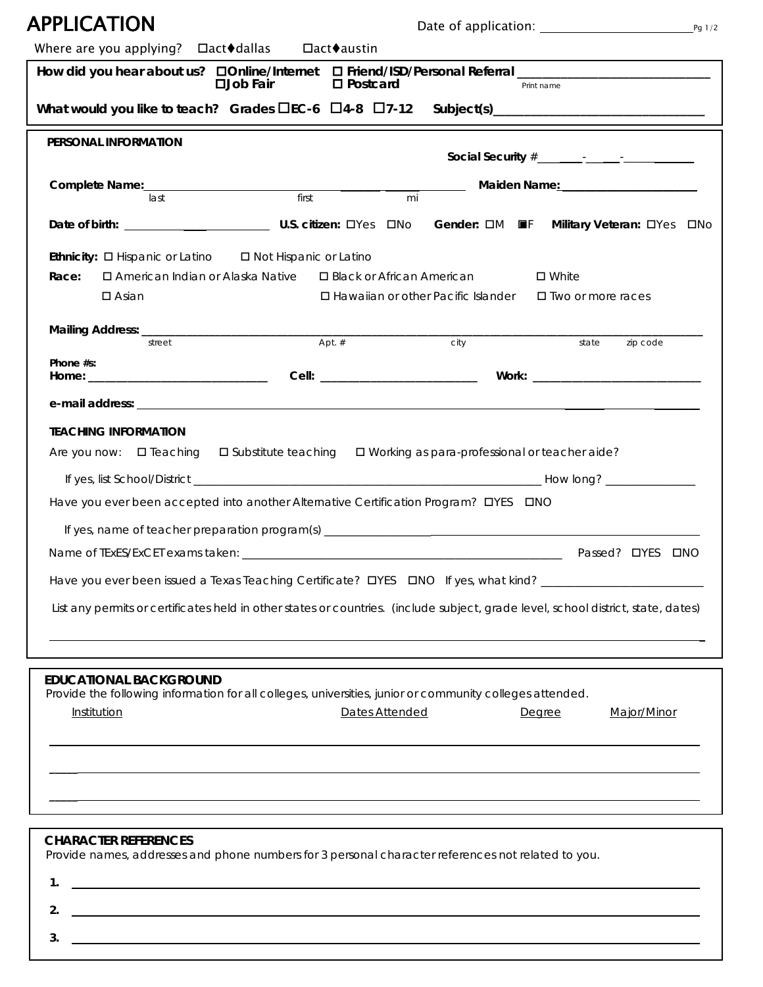| <b>APPLICATION</b>                                                                                                                        |                  |                |      |                                                                    |                   |  |
|-------------------------------------------------------------------------------------------------------------------------------------------|------------------|----------------|------|--------------------------------------------------------------------|-------------------|--|
| Where are you applying?  □ act◆ dallas  □ act◆ austin                                                                                     |                  |                |      |                                                                    |                   |  |
|                                                                                                                                           | <b>OJob Fair</b> | □ Postcard     |      | Print name                                                         |                   |  |
|                                                                                                                                           |                  |                |      |                                                                    |                   |  |
| PERSONAL INFORMATION                                                                                                                      |                  |                |      |                                                                    |                   |  |
|                                                                                                                                           |                  |                |      |                                                                    |                   |  |
| last                                                                                                                                      | first            | mi             |      |                                                                    |                   |  |
|                                                                                                                                           |                  |                |      | Gender: OM F Military Veteran: OYes ONo                            |                   |  |
| Ethnicity: □ Hispanic or Latino □ Not Hispanic or Latino                                                                                  |                  |                |      |                                                                    |                   |  |
| $\Box$ American Indian or Alaska Native $\Box$ Black or African American<br>Race:                                                         |                  |                |      | $\square$ White                                                    |                   |  |
| $\Box$ Asian                                                                                                                              |                  |                |      | $\Box$ Hawaiian or other Pacific Islander $\Box$ Two or more races |                   |  |
|                                                                                                                                           |                  |                |      |                                                                    |                   |  |
| street                                                                                                                                    | Apt. $#$         |                | city |                                                                    | zip code<br>state |  |
| Phone #s:                                                                                                                                 |                  |                |      |                                                                    |                   |  |
|                                                                                                                                           |                  |                |      |                                                                    |                   |  |
| <b>TEACHING INFORMATION</b>                                                                                                               |                  |                |      |                                                                    |                   |  |
| Are you now: $\Box$ Teaching $\Box$ Substitute teaching $\Box$ Working as para-professional or teacher aide?                              |                  |                |      |                                                                    |                   |  |
|                                                                                                                                           |                  |                |      |                                                                    |                   |  |
| Have you ever been accepted into another Alternative Certification Program? DYES DNO                                                      |                  |                |      |                                                                    |                   |  |
| If yes, name of teacher preparation program(s) _________________________________                                                          |                  |                |      |                                                                    |                   |  |
|                                                                                                                                           |                  |                |      |                                                                    |                   |  |
| Have you ever been issued a Texas Teaching Certificate? DYES DNO If yes, what kind?                                                       |                  |                |      |                                                                    |                   |  |
|                                                                                                                                           |                  |                |      |                                                                    |                   |  |
| List any permits or certificates held in other states or countries. (include subject, grade level, school district, state, dates)         |                  |                |      |                                                                    |                   |  |
|                                                                                                                                           |                  |                |      |                                                                    |                   |  |
|                                                                                                                                           |                  |                |      |                                                                    |                   |  |
| <b>EDUCATIONAL BACKGROUND</b><br>Provide the following information for all colleges, universities, junior or community colleges attended. |                  |                |      |                                                                    |                   |  |
| Institution                                                                                                                               |                  | Dates Attended |      | <u>Degree</u>                                                      | Major/Minor       |  |
|                                                                                                                                           |                  |                |      |                                                                    |                   |  |
|                                                                                                                                           |                  |                |      |                                                                    |                   |  |
|                                                                                                                                           |                  |                |      |                                                                    |                   |  |
|                                                                                                                                           |                  |                |      |                                                                    |                   |  |
| <b>CHARACTER REFERENCES</b>                                                                                                               |                  |                |      |                                                                    |                   |  |
|                                                                                                                                           |                  |                |      |                                                                    |                   |  |

Provide names, addresses and phone numbers for 3 personal character references not related to you.

**1. 2. 3.**